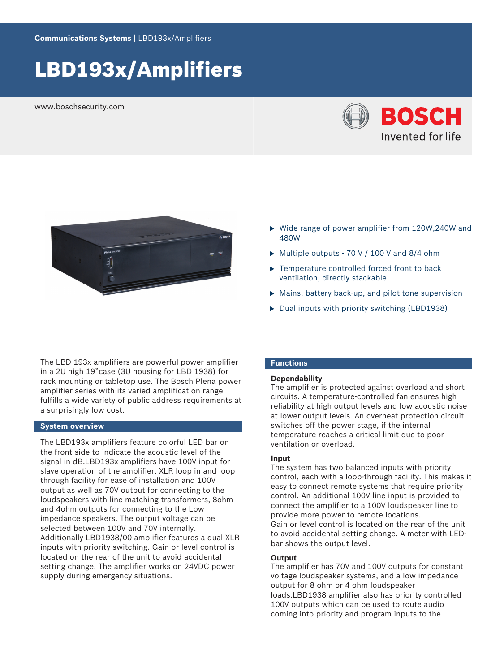# LBD193x/Amplifiers

www.boschsecurity.com





- $\triangleright$  Wide range of power amplifier from 120W,240W and 480W
- $\triangleright$  Multiple outputs 70 V / 100 V and 8/4 ohm
- $\blacktriangleright$  Temperature controlled forced front to back ventilation, directly stackable
- $\triangleright$  Mains, battery back-up, and pilot tone supervision
- $\triangleright$  Dual inputs with priority switching (LBD1938)

The LBD 193x amplifiers are powerful power amplifier in a 2U high 19"case (3U housing for LBD 1938) for rack mounting or tabletop use. The Bosch Plena power amplifier series with its varied amplification range fulfills a wide variety of public address requirements at a surprisingly low cost.

## **System overview**

The LBD193x amplifiers feature colorful LED bar on the front side to indicate the acoustic level of the signal in dB.LBD193x amplifiers have 100V input for slave operation of the amplifier, XLR loop in and loop through facility for ease of installation and 100V output as well as 70V output for connecting to the loudspeakers with line matching transformers, 8ohm and 4ohm outputs for connecting to the Low impedance speakers. The output voltage can be selected between 100V and 70V internally. Additionally LBD1938/00 amplifier features a dual XLR inputs with priority switching. Gain or level control is located on the rear of the unit to avoid accidental setting change. The amplifier works on 24VDC power supply during emergency situations.

## **Functions**

#### **Dependability**

The amplifier is protected against overload and short circuits. A temperature-controlled fan ensures high reliability at high output levels and low acoustic noise at lower output levels. An overheat protection circuit switches off the power stage, if the internal temperature reaches a critical limit due to poor ventilation or overload.

### **Input**

The system has two balanced inputs with priority control, each with a loop-through facility. This makes it easy to connect remote systems that require priority control. An additional 100V line input is provided to connect the amplifier to a 100V loudspeaker line to provide more power to remote locations. Gain or level control is located on the rear of the unit to avoid accidental setting change. A meter with LEDbar shows the output level.

## **Output**

The amplifier has 70V and 100V outputs for constant voltage loudspeaker systems, and a low impedance output for 8 ohm or 4 ohm loudspeaker loads.LBD1938 amplifier also has priority controlled 100V outputs which can be used to route audio coming into priority and program inputs to the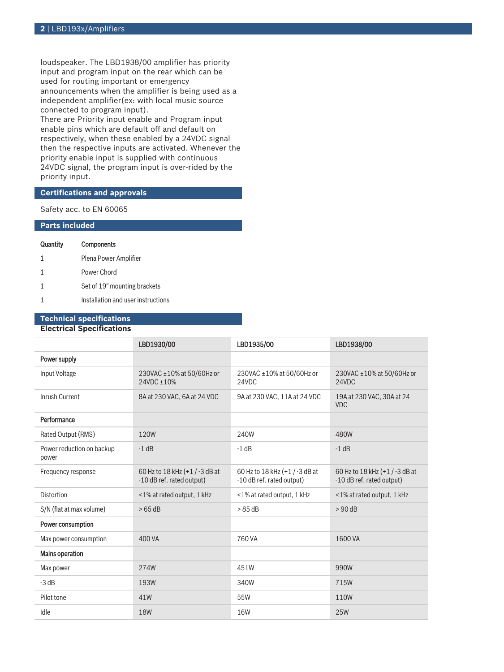loudspeaker. The LBD1938/00 amplifier has priority input and program input on the rear which can be used for routing important or emergency announcements when the amplifier is being used as a independent amplifier(ex: with local music source connected to program input).

There are Priority input enable and Program input enable pins which are default off and default on respectively, when these enabled by a 24VDC signal then the respective inputs are activated. Whenever the priority enable input is supplied with continuous 24VDC signal, the program input is over-rided by the priority input.

## **Certifications and approvals**

Safety acc. to EN 60065

| <b>Parts included</b> |                                    |  |  |  |
|-----------------------|------------------------------------|--|--|--|
| Quantity              | Components                         |  |  |  |
|                       | Plena Power Amplifier              |  |  |  |
|                       | Power Chord                        |  |  |  |
|                       | Set of 19" mounting brackets       |  |  |  |
|                       | Installation and user instructions |  |  |  |

## **Technical specifications**

## **Electrical Specifications**

|                                    | LBD1930/00                                                | LBD1935/00                                                | LBD1938/00                                                |
|------------------------------------|-----------------------------------------------------------|-----------------------------------------------------------|-----------------------------------------------------------|
| Power supply                       |                                                           |                                                           |                                                           |
| Input Voltage                      | 230VAC ±10% at 50/60Hz or<br>24VDC ±10%                   | 230VAC ±10% at 50/60Hz or<br>24VDC                        | 230VAC ±10% at 50/60Hz or<br>24VDC                        |
| Inrush Current                     | 8A at 230 VAC, 6A at 24 VDC                               | 9A at 230 VAC, 11A at 24 VDC                              | 19A at 230 VAC, 30A at 24<br><b>VDC</b>                   |
| Performance                        |                                                           |                                                           |                                                           |
| Rated Output (RMS)                 | 120W                                                      | 240W                                                      | 480W                                                      |
| Power reduction on backup<br>power | $-1$ dB                                                   | $-1$ dB                                                   | $-1$ dB                                                   |
| Frequency response                 | 60 Hz to 18 kHz (+1/-3 dB at<br>-10 dB ref. rated output) | 60 Hz to 18 kHz (+1/-3 dB at<br>-10 dB ref. rated output) | 60 Hz to 18 kHz (+1/-3 dB at<br>-10 dB ref. rated output) |
| <b>Distortion</b>                  | <1% at rated output, 1 kHz                                | <1% at rated output, 1 kHz                                | <1% at rated output, 1 kHz                                |
| S/N (flat at max volume)           | >65 dB                                                    | >85dB                                                     | > 90 dB                                                   |
| Power consumption                  |                                                           |                                                           |                                                           |
| Max power consumption              | 400 VA                                                    | 760 VA                                                    | 1600 VA                                                   |
| <b>Mains operation</b>             |                                                           |                                                           |                                                           |
| Max power                          | 274W                                                      | 451W                                                      | 990W                                                      |
| $-3 dB$                            | 193W                                                      | 340W                                                      | 715W                                                      |
| Pilot tone                         | 41W                                                       | 55W                                                       | 110W                                                      |
| Idle                               | <b>18W</b>                                                | 16W                                                       | <b>25W</b>                                                |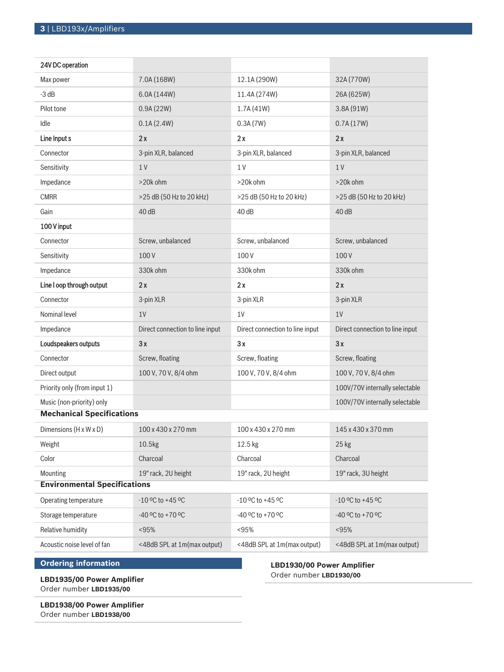| 24V DC operation                    |                                 |                                 |                                 |
|-------------------------------------|---------------------------------|---------------------------------|---------------------------------|
| Max power                           | 7.0A (168W)                     | 12.1A (290W)                    | 32A (770W)                      |
| $-3 dB$                             | 6.0A (144W)                     | 11.4A (274W)                    | 26A (625W)                      |
| Pilot tone                          | 0.9A(22W)                       | 1.7A(41W)                       | 3.8A (91W)                      |
| Idle                                | 0.1A(2.4W)                      | 0.3A(7W)                        | 0.7A(17W)                       |
| Line Input s                        | 2x                              | 2x                              | 2x                              |
| Connector                           | 3-pin XLR, balanced             | 3-pin XLR, balanced             | 3-pin XLR, balanced             |
| Sensitivity                         | 1 <sub>V</sub>                  | 1 V                             | 1 <sub>V</sub>                  |
| Impedance                           | >20k ohm                        | >20k ohm                        | >20k ohm                        |
| <b>CMRR</b>                         | >25 dB (50 Hz to 20 kHz)        | >25 dB (50 Hz to 20 kHz)        | >25 dB (50 Hz to 20 kHz)        |
| Gain                                | 40dB                            | 40dB                            | 40dB                            |
| 100 V input                         |                                 |                                 |                                 |
| Connector                           | Screw, unbalanced               | Screw, unbalanced               | Screw, unbalanced               |
| Sensitivity                         | 100V                            | 100V                            | 100V                            |
| Impedance                           | 330k ohm                        | 330k ohm                        | 330k ohm                        |
| Line I oop through output           | 2x                              | 2x                              | 2x                              |
| Connector                           | 3-pin XLR                       | 3-pin XLR                       | 3-pin XLR                       |
| Nominal level                       | 1V                              | 1V                              | 1V                              |
| Impedance                           | Direct connection to line input | Direct connection to line input | Direct connection to line input |
| Loudspeakers outputs                | 3x                              | 3x                              | 3x                              |
| Connector                           | Screw, floating                 | Screw, floating                 | Screw, floating                 |
| Direct output                       | 100 V, 70 V, 8/4 ohm            | 100 V, 70 V, 8/4 ohm            | 100 V, 70 V, 8/4 ohm            |
| Priority only (from input 1)        |                                 |                                 | 100V/70V internally selectable  |
| Music (non-priority) only           |                                 |                                 | 100V/70V internally selectable  |
| <b>Mechanical Specifications</b>    |                                 |                                 |                                 |
| Dimensions (H x W x D)              | 100 x 430 x 270 mm              | 100 x 430 x 270 mm              | 145 x 430 x 370 mm              |
| Weight                              | 10.5kg                          | 12.5 kg                         | 25 kg                           |
| Color                               | Charcoal                        | Charcoal                        | Charcoal                        |
| Mounting                            | 19" rack, 2U height             | 19" rack, 2U height             | 19" rack, 3U height             |
| <b>Environmental Specifications</b> |                                 |                                 |                                 |
| Operating temperature               | $-10$ °C to $+45$ °C            | $-10$ °C to $+45$ °C            | $-10$ °C to $+45$ °C            |
| Storage temperature                 | -40 °C to +70 °C                | -40 °C to +70 °C                | -40 °C to +70 °C                |
| Relative humidity                   | < 95%                           | < 95%                           | < 95%                           |
| Acoustic noise level of fan         | <48dB SPL at 1m(max output)     | <48dB SPL at 1m(max output)     | <48dB SPL at 1m(max output)     |

## **Ordering information**

**LBD1935/00 Power Amplifier** Order number **LBD1935/00**

**LBD1938/00 Power Amplifier** Order number **LBD1938/00**

**LBD1930/00 Power Amplifier** Order number **LBD1930/00**